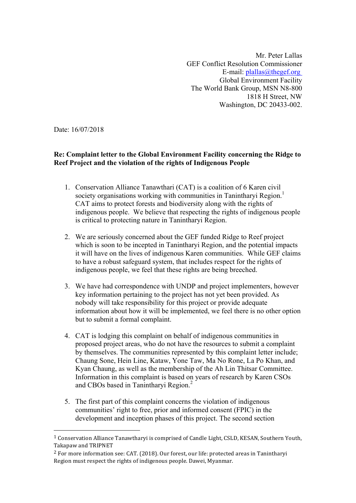Mr. Peter Lallas GEF Conflict Resolution Commissioner E-mail:  $p$ lallas@thegef.org Global Environment Facility The World Bank Group, MSN N8-800 1818 H Street, NW Washington, DC 20433-002.

Date: 16/07/2018

# **Re: Complaint letter to the Global Environment Facility concerning the Ridge to Reef Project and the violation of the rights of Indigenous People**

- 1. Conservation Alliance Tanawthari (CAT) is a coalition of 6 Karen civil society organisations working with communities in Tanintharyi Region.<sup>1</sup> CAT aims to protect forests and biodiversity along with the rights of indigenous people. We believe that respecting the rights of indigenous people is critical to protecting nature in Tanintharyi Region.
- 2. We are seriously concerned about the GEF funded Ridge to Reef project which is soon to be incepted in Tanintharyi Region, and the potential impacts it will have on the lives of indigenous Karen communities. While GEF claims to have a robust safeguard system, that includes respect for the rights of indigenous people, we feel that these rights are being breeched.
- 3. We have had correspondence with UNDP and project implementers, however key information pertaining to the project has not yet been provided. As nobody will take responsibility for this project or provide adequate information about how it will be implemented, we feel there is no other option but to submit a formal complaint.
- 4. CAT is lodging this complaint on behalf of indigenous communities in proposed project areas, who do not have the resources to submit a complaint by themselves. The communities represented by this complaint letter include; Chaung Sone, Hein Line, Kataw, Yone Taw, Ma No Rone, La Po Khan, and Kyan Chaung, as well as the membership of the Ah Lin Thitsar Committee. Information in this complaint is based on years of research by Karen CSOs and CBOs based in Tanintharyi Region.<sup>2</sup>
- 5. The first part of this complaint concerns the violation of indigenous communities' right to free, prior and informed consent (FPIC) in the development and inception phases of this project. The second section

<sup>&</sup>lt;sup>1</sup> Conservation Alliance Tanawtharyi is comprised of Candle Light, CSLD, KESAN, Southern Youth, Takapaw and TRIPNET

 $2$  For more information see: CAT. (2018). Our forest, our life: protected areas in Tanintharyi Region must respect the rights of indigenous people. Dawei, Myanmar.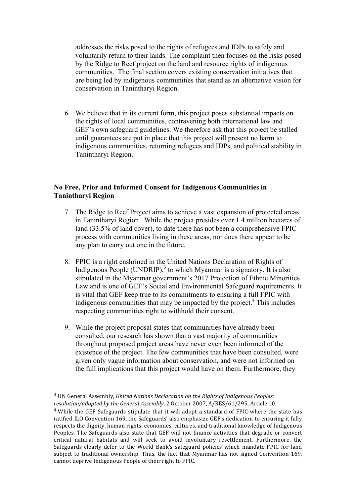addresses the risks posed to the rights of refugees and IDPs to safely and voluntarily return to their lands. The complaint then focuses on the risks posed by the Ridge to Reef project on the land and resource rights of indigenous communities. The final section covers existing conservation initiatives that are being led by indigenous communities that stand as an alternative vision for conservation in Tanintharyi Region.

6. We believe that in its current form, this project poses substantial impacts on the rights of local communities, contravening both international law and GEF's own safeguard guidelines. We therefore ask that this project be stalled until guarantees are put in place that this project will present no harm to indigenous communities, returning refugees and IDPs, and political stability in Tanintharyi Region.

## **No Free, Prior and Informed Consent for Indigenous Communities in Tanintharyi Region**

- 7. The Ridge to Reef Project aims to achieve a vast expansion of protected areas in Tanintharyi Region. While the project presides over 1.4 million hectares of land (33.5% of land cover), to date there has not been a comprehensive FPIC process with communities living in these areas, nor does there appear to be any plan to carry out one in the future.
- 8. FPIC is a right enshrined in the United Nations Declaration of Rights of Indigenous People (UNDRIP),<sup>3</sup> to which Myanmar is a signatory. It is also stipulated in the Myanmar government's 2017 Protection of Ethnic Minorities Law and is one of GEF's Social and Environmental Safeguard requirements. It is vital that GEF keep true to its commitments to ensuring a full FPIC with indigenous communities that may be impacted by the project.<sup>4</sup> This includes respecting communities right to withhold their consent.
- 9. While the project proposal states that communities have already been consulted, our research has shown that a vast majority of communities throughout proposed project areas have never even been informed of the existence of the project. The few communities that have been consulted, were given only vague information about conservation, and were not informed on the full implications that this project would have on them. Furthermore, they

<sup>&</sup>lt;sup>3</sup> UN General Assembly, *United Nations Declaration on the Rights of Indigenous Peoples:* resolution/adopted by the General Assembly, 2 October 2007, A/RES/61/295, Article 10.

 $4$  While the GEF Safeguards stipulate that it will adopt a standard of FPIC where the state has ratified ILO Convention 169, the Safeguards' also emphasize GEF's dedication to ensuring it fully respects the dignity, human rights, economies, cultures, and traditional knowledge of Indigenous Peoples. The Safeguards also state that GEF will not finance activities that degrade or convert critical natural habitats and will seek to avoid involuntary resettlement. Furthermore, the Safeguards clearly defer to the World Bank's safeguard policies which mandate FPIC for land subject to traditional ownership. Thus, the fact that Myanmar has not signed Convention 169, cannot deprive Indigenous People of their right to FPIC.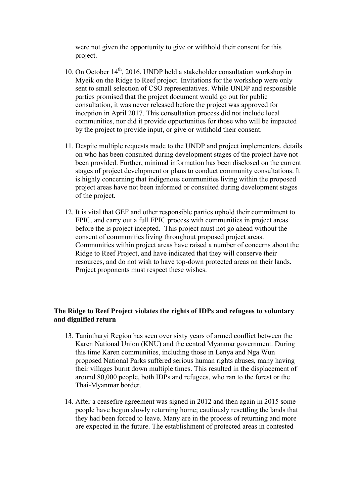were not given the opportunity to give or withhold their consent for this project.

- 10. On October  $14<sup>th</sup>$ , 2016, UNDP held a stakeholder consultation workshop in Myeik on the Ridge to Reef project. Invitations for the workshop were only sent to small selection of CSO representatives. While UNDP and responsible parties promised that the project document would go out for public consultation, it was never released before the project was approved for inception in April 2017. This consultation process did not include local communities, nor did it provide opportunities for those who will be impacted by the project to provide input, or give or withhold their consent.
- 11. Despite multiple requests made to the UNDP and project implementers, details on who has been consulted during development stages of the project have not been provided. Further, minimal information has been disclosed on the current stages of project development or plans to conduct community consultations. It is highly concerning that indigenous communities living within the proposed project areas have not been informed or consulted during development stages of the project.
- 12. It is vital that GEF and other responsible parties uphold their commitment to FPIC, and carry out a full FPIC process with communities in project areas before the is project incepted. This project must not go ahead without the consent of communities living throughout proposed project areas. Communities within project areas have raised a number of concerns about the Ridge to Reef Project, and have indicated that they will conserve their resources, and do not wish to have top-down protected areas on their lands. Project proponents must respect these wishes.

### **The Ridge to Reef Project violates the rights of IDPs and refugees to voluntary and dignified return**

- 13. Tanintharyi Region has seen over sixty years of armed conflict between the Karen National Union (KNU) and the central Myanmar government. During this time Karen communities, including those in Lenya and Nga Wun proposed National Parks suffered serious human rights abuses, many having their villages burnt down multiple times. This resulted in the displacement of around 80,000 people, both IDPs and refugees, who ran to the forest or the Thai-Myanmar border.
- 14. After a ceasefire agreement was signed in 2012 and then again in 2015 some people have begun slowly returning home; cautiously resettling the lands that they had been forced to leave. Many are in the process of returning and more are expected in the future. The establishment of protected areas in contested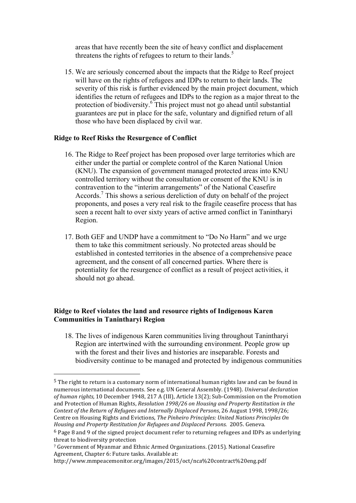areas that have recently been the site of heavy conflict and displacement threatens the rights of refugees to return to their lands.<sup>5</sup>

15. We are seriously concerned about the impacts that the Ridge to Reef project will have on the rights of refugees and IDPs to return to their lands. The severity of this risk is further evidenced by the main project document, which identifies the return of refugees and IDPs to the region as a major threat to the protection of biodiversity.<sup>6</sup> This project must not go ahead until substantial guarantees are put in place for the safe, voluntary and dignified return of all those who have been displaced by civil war.

#### **Ridge to Reef Risks the Resurgence of Conflict**

 

- 16. The Ridge to Reef project has been proposed over large territories which are either under the partial or complete control of the Karen National Union (KNU). The expansion of government managed protected areas into KNU controlled territory without the consultation or consent of the KNU is in contravention to the "interim arrangements" of the National Ceasefire Accords.<sup>7</sup> This shows a serious dereliction of duty on behalf of the project proponents, and poses a very real risk to the fragile ceasefire process that has seen a recent halt to over sixty years of active armed conflict in Tanintharyi Region.
- 17. Both GEF and UNDP have a commitment to "Do No Harm" and we urge them to take this commitment seriously. No protected areas should be established in contested territories in the absence of a comprehensive peace agreement, and the consent of all concerned parties. Where there is potentiality for the resurgence of conflict as a result of project activities, it should not go ahead.

## **Ridge to Reef violates the land and resource rights of Indigenous Karen Communities in Tanintharyi Region**

18. The lives of indigenous Karen communities living throughout Tanintharyi Region are intertwined with the surrounding environment. People grow up with the forest and their lives and histories are inseparable. Forests and biodiversity continue to be managed and protected by indigenous communities

 $5$  The right to return is a customary norm of international human rights law and can be found in numerous international documents. See e.g. UN General Assembly. (1948). *Universal declaration* of human rights, 10 December 1948, 217 A (III), Article 13(2); Sub-Commission on the Promotion and Protection of Human Rights, *Resolution* 1998/26 on Housing and Property Restitution in the *Context of the Return of Refugees and Internally Displaced Persons*, 26 August 1998, 1998/26; Centre on Housing Rights and Evictions, *The Pinheiro Principles: United Nations Principles On Housing and Property Restitution for Refugees and Displaced Persons.* 2005. Geneva.

 $6$  Page 8 and 9 of the signed project document refer to returning refugees and IDPs as underlying threat to biodiversity protection

<sup>&</sup>lt;sup>7</sup> Government of Myanmar and Ethnic Armed Organizations. (2015). National Ceasefire Agreement, Chapter 6: Future tasks. Available at:

http://www.mmpeacemonitor.org/images/2015/oct/nca%20contract%20eng.pdf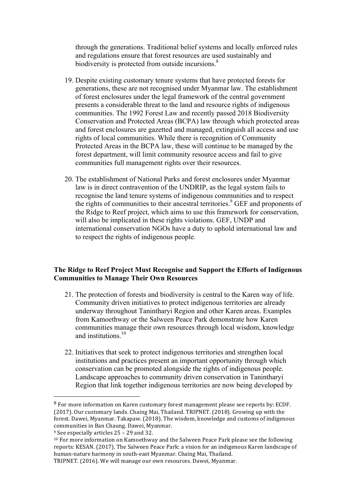through the generations. Traditional belief systems and locally enforced rules and regulations ensure that forest resources are used sustainably and biodiversity is protected from outside incursions.<sup>8</sup>

- 19. Despite existing customary tenure systems that have protected forests for generations, these are not recognised under Myanmar law. The establishment of forest enclosures under the legal framework of the central government presents a considerable threat to the land and resource rights of indigenous communities. The 1992 Forest Law and recently passed 2018 Biodiversity Conservation and Protected Areas (BCPA) law through which protected areas and forest enclosures are gazetted and managed, extinguish all access and use rights of local communities. While there is recognition of Community Protected Areas in the BCPA law, these will continue to be managed by the forest department, will limit community resource access and fail to give communities full management rights over their resources.
- 20. The establishment of National Parks and forest enclosures under Myanmar law is in direct contravention of the UNDRIP, as the legal system fails to recognise the land tenure systems of indigenous communities and to respect the rights of communities to their ancestral territories.<sup>9</sup> GEF and proponents of the Ridge to Reef project, which aims to use this framework for conservation, will also be implicated in these rights violations. GEF, UNDP and international conservation NGOs have a duty to uphold international law and to respect the rights of indigenous people.

#### **The Ridge to Reef Project Must Recognise and Support the Efforts of Indigenous Communities to Manage Their Own Resources**

- 21. The protection of forests and biodiversity is central to the Karen way of life. Community driven initiatives to protect indigenous territories are already underway throughout Tanintharyi Region and other Karen areas. Examples from Kamoethway or the Salween Peace Park demonstrate how Karen communities manage their own resources through local wisdom, knowledge and institutions  $10$
- 22. Initiatives that seek to protect indigenous territories and strengthen local institutions and practices present an important opportunity through which conservation can be promoted alongside the rights of indigenous people. Landscape approaches to community driven conservation in Tanintharyi Region that link together indigenous territories are now being developed by

 $8$  For more information on Karen customary forest management please see reports by: ECDF. (2017). Our customary lands. Chaing Mai, Thailand. TRIPNET. (2018). Growing up with the forest. Dawei, Myanmar. Takapaw. (2018). The wisdom, knowledge and customs of indigenous communities in Ban Chaung. Dawei, Myanmar.

 $9$  See especially articles  $25 - 29$  and 32.

 $10$  For more information on Kamoethway and the Salween Peace Park please see the following reports: KESAN. (2017). The Salween Peace Park: a vision for an indigenous Karen landscape of human-nature harmony in south-east Myanmar. Chaing Mai, Thailand.

TRIPNET. (2016). We will manage our own resources. Dawei, Myanmar.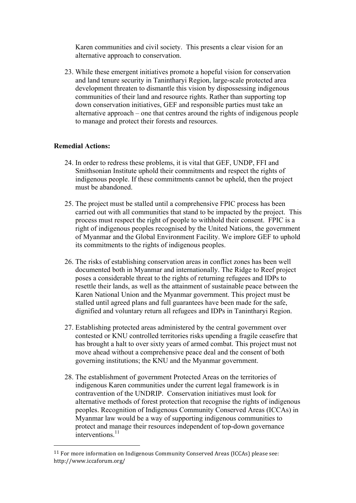Karen communities and civil society. This presents a clear vision for an alternative approach to conservation.

23. While these emergent initiatives promote a hopeful vision for conservation and land tenure security in Tanintharyi Region, large-scale protected area development threaten to dismantle this vision by dispossessing indigenous communities of their land and resource rights. Rather than supporting top down conservation initiatives, GEF and responsible parties must take an alternative approach – one that centres around the rights of indigenous people to manage and protect their forests and resources.

#### **Remedial Actions:**

- 24. In order to redress these problems, it is vital that GEF, UNDP, FFI and Smithsonian Institute uphold their commitments and respect the rights of indigenous people. If these commitments cannot be upheld, then the project must be abandoned.
- 25. The project must be stalled until a comprehensive FPIC process has been carried out with all communities that stand to be impacted by the project. This process must respect the right of people to withhold their consent. FPIC is a right of indigenous peoples recognised by the United Nations, the government of Myanmar and the Global Environment Facility. We implore GEF to uphold its commitments to the rights of indigenous peoples.
- 26. The risks of establishing conservation areas in conflict zones has been well documented both in Myanmar and internationally. The Ridge to Reef project poses a considerable threat to the rights of returning refugees and IDPs to resettle their lands, as well as the attainment of sustainable peace between the Karen National Union and the Myanmar government. This project must be stalled until agreed plans and full guarantees have been made for the safe, dignified and voluntary return all refugees and IDPs in Tanintharyi Region.
- 27. Establishing protected areas administered by the central government over contested or KNU controlled territories risks upending a fragile ceasefire that has brought a halt to over sixty years of armed combat. This project must not move ahead without a comprehensive peace deal and the consent of both governing institutions; the KNU and the Myanmar government.
- 28. The establishment of government Protected Areas on the territories of indigenous Karen communities under the current legal framework is in contravention of the UNDRIP. Conservation initiatives must look for alternative methods of forest protection that recognise the rights of indigenous peoples. Recognition of Indigenous Community Conserved Areas (ICCAs) in Myanmar law would be a way of supporting indigenous communities to protect and manage their resources independent of top-down governance interventions.<sup>11</sup>

 $11$  For more information on Indigenous Community Conserved Areas (ICCAs) please see: http://www.iccaforum.org/